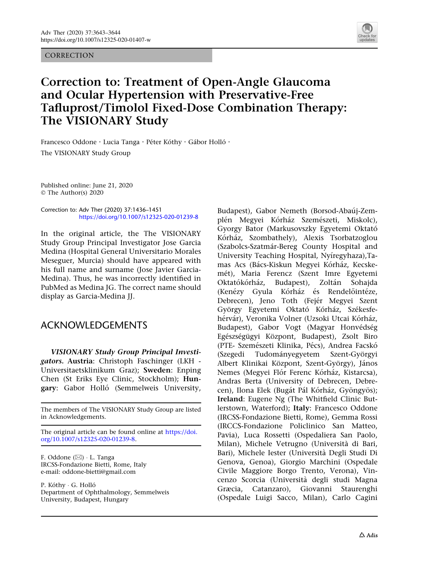## **CORRECTION**



## Correction to: Treatment of Open-Angle Glaucoma and Ocular Hypertension with Preservative-Free Tafluprost/Timolol Fixed-Dose Combination Therapy: The VISIONARY Study

Francesco Oddone · Lucia Tanga · Péter Kóthy · Gábor Holló · The VISIONARY Study Group

Published online: June 21, 2020 © The Author(s) 2020

Correction to: Adv Ther (2020) 37:1436–1451 https://doi.org/10.1007/s12325-020-01239-8

In the original article, the The VISIONARY Study Group Principal Investigator Jose Garcia Medina (Hospital General Universitario Morales Meseguer, Murcia) should have appeared with his full name and surname (Jose Javier Garcia-Medina). Thus, he was incorrectly identified in PubMed as Medina JG. The correct name should display as Garcia-Medina JJ.

## ACKNOWLEDGEMENTS

VISIONARY Study Group Principal Investigators. Austria: Christoph Faschinger (LKH - Universitaetsklinikum Graz); Sweden: Enping Chen (St Eriks Eye Clinic, Stockholm); Hungary: Gabor Holló (Semmelweis University,

The members of The VISIONARY Study Group are listed in Acknowledgements.

The original article can be found online at [https://doi.](https://doi.org/10.1007/s12325-020-01239-8) [org/10.1007/s12325-020-01239-8.](https://doi.org/10.1007/s12325-020-01239-8)

F. Oddone (⊠) ∙ L. Tanga IRCSS-Fondazione Bietti, Rome, Italy e-mail: oddone-bietti@gmail.com

P. Kóthy · G. Holló Department of Ophthalmology, Semmelweis University, Budapest, Hungary

Budapest), Gabor Nemeth (Borsod-Abaúj-Zemplén Megyei Kórház Szemészeti, Miskolc), Gyorgy Bator (Markusovszky Egyetemi Oktato´ Kórház, Szombathely), Alexis Tsorbatzoglou (Szabolcs-Szatma´r-Bereg County Hospital and University Teaching Hospital, Nyíregyhaza).Tamas Acs (Bács-Kiskun Megyei Kórház, Kecskemét), Maria Ferencz (Szent Imre Egyetemi Oktatókórház, Budapest), Zoltán Sohajda (Kenézy Gyula Kórház és Rendelőintéze, Debrecen), Jeno Toth (Fejér Megyei Szent György Egyetemi Oktató Kórház, Székesfehérvár), Veronika Volner (Uzsoki Utcai Kórház, Budapest), Gabor Vogt (Magyar Honvédség Egészségügyi Központ, Budapest), Zsolt Biro (PTE- Szemészeti Klinika, Pécs), Andrea Facskó (Szegedi Tudományegyetem Szent-Györgyi Albert Klinikai Központ, Szent-György), János Nemes (Megyei Flór Ferenc Kórház, Kistarcsa), Andras Berta (University of Debrecen, Debrecen), Ilona Elek (Bugát Pál Kórház, Gyöngyös); Ireland: Eugene Ng (The Whitfield Clinic Butlerstown, Waterford); Italy: Francesco Oddone (IRCSS-Fondazione Bietti, Rome), Gemma Rossi (IRCCS-Fondazione Policlinico San Matteo, Pavia), Luca Rossetti (Ospedaliera San Paolo, Milan), Michele Vetrugno (Università di Bari, Bari), Michele Iester (Universita` Degli Studi Di Genova, Genoa), Giorgio Marchini (Ospedale Civile Maggiore Borgo Trento, Verona), Vincenzo Scorcia (Universita` degli studi Magna Græcia, Catanzaro), Giovanni Staurenghi (Ospedale Luigi Sacco, Milan), Carlo Cagini